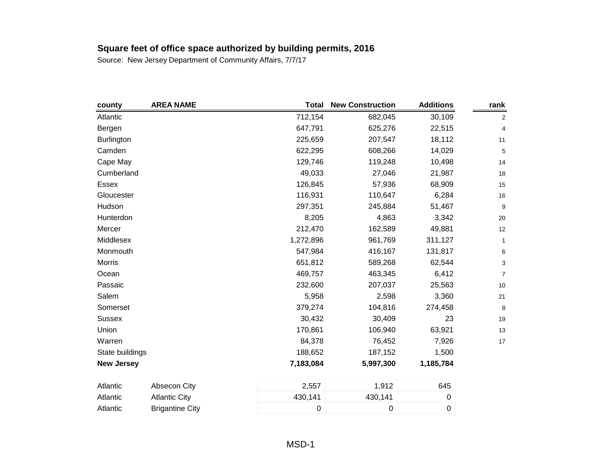| county            | <b>AREA NAME</b>       | <b>Total</b> | <b>New Construction</b> | <b>Additions</b> | rank             |
|-------------------|------------------------|--------------|-------------------------|------------------|------------------|
| Atlantic          |                        | 712,154      | 682,045                 | 30,109           | $\boldsymbol{2}$ |
| Bergen            |                        | 647,791      | 625,276                 | 22,515           | 4                |
| <b>Burlington</b> |                        | 225,659      | 207,547                 | 18,112           | 11               |
| Camden            |                        | 622,295      | 608,266                 | 14,029           | 5                |
| Cape May          |                        | 129,746      | 119,248                 | 10,498           | 14               |
| Cumberland        |                        | 49,033       | 27,046                  | 21,987           | 18               |
| Essex             |                        | 126,845      | 57,936                  | 68,909           | 15               |
| Gloucester        |                        | 116,931      | 110,647                 | 6,284            | 16               |
| Hudson            |                        | 297,351      | 245,884                 | 51,467           | 9                |
| Hunterdon         |                        | 8,205        | 4,863                   | 3,342            | $20\,$           |
| Mercer            |                        | 212,470      | 162,589                 | 49,881           | 12               |
| Middlesex         |                        | 1,272,896    | 961,769                 | 311,127          | $\mathbf{1}$     |
| Monmouth          |                        | 547,984      | 416,167                 | 131,817          | 6                |
| <b>Morris</b>     |                        | 651,812      | 589,268                 | 62,544           | 3                |
| Ocean             |                        | 469,757      | 463,345                 | 6,412            | $\overline{7}$   |
| Passaic           |                        | 232,600      | 207,037                 | 25,563           | $10$             |
| Salem             |                        | 5,958        | 2,598                   | 3,360            | 21               |
| Somerset          |                        | 379,274      | 104,816                 | 274,458          | 8                |
| Sussex            |                        | 30,432       | 30,409                  | 23               | 19               |
| Union             |                        | 170,861      | 106,940                 | 63,921           | 13               |
| Warren            |                        | 84,378       | 76,452                  | 7,926            | 17               |
| State buildings   |                        | 188,652      | 187,152                 | 1,500            |                  |
| <b>New Jersey</b> |                        | 7,183,084    | 5,997,300               | 1,185,784        |                  |
| Atlantic          | Absecon City           | 2,557        | 1,912                   | 645              |                  |
| Atlantic          | <b>Atlantic City</b>   | 430,141      | 430,141                 | 0                |                  |
| Atlantic          | <b>Brigantine City</b> | 0            | 0                       | 0                |                  |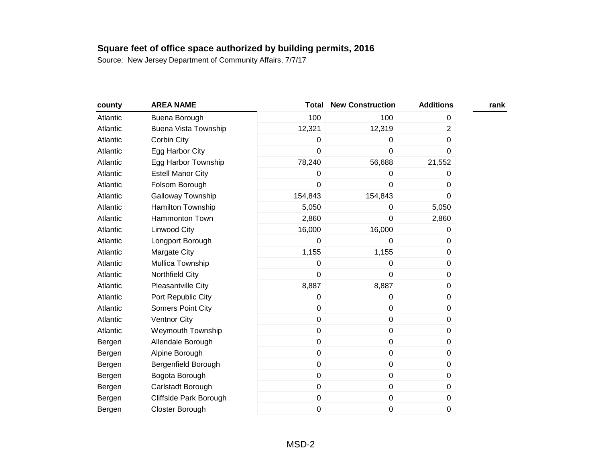| county   | <b>AREA NAME</b>            | <b>Total</b> | <b>New Construction</b> | <b>Additions</b> | rank |
|----------|-----------------------------|--------------|-------------------------|------------------|------|
| Atlantic | Buena Borough               | 100          | 100                     | 0                |      |
| Atlantic | <b>Buena Vista Township</b> | 12,321       | 12,319                  | $\overline{2}$   |      |
| Atlantic | Corbin City                 | 0            | 0                       | 0                |      |
| Atlantic | Egg Harbor City             | $\mathbf 0$  | $\mathbf 0$             | 0                |      |
| Atlantic | Egg Harbor Township         | 78,240       | 56,688                  | 21,552           |      |
| Atlantic | <b>Estell Manor City</b>    | 0            | 0                       | 0                |      |
| Atlantic | Folsom Borough              | $\pmb{0}$    | 0                       | 0                |      |
| Atlantic | Galloway Township           | 154,843      | 154,843                 | 0                |      |
| Atlantic | Hamilton Township           | 5,050        | 0                       | 5,050            |      |
| Atlantic | <b>Hammonton Town</b>       | 2,860        | 0                       | 2,860            |      |
| Atlantic | Linwood City                | 16,000       | 16,000                  | 0                |      |
| Atlantic | Longport Borough            | $\mathbf 0$  | 0                       | 0                |      |
| Atlantic | Margate City                | 1,155        | 1,155                   | 0                |      |
| Atlantic | Mullica Township            | $\mathbf 0$  | 0                       | 0                |      |
| Atlantic | Northfield City             | $\pmb{0}$    | 0                       | 0                |      |
| Atlantic | Pleasantville City          | 8,887        | 8,887                   | 0                |      |
| Atlantic | Port Republic City          | $\mathbf 0$  | 0                       | 0                |      |
| Atlantic | Somers Point City           | $\pmb{0}$    | $\pmb{0}$               | 0                |      |
| Atlantic | Ventnor City                | $\mathbf 0$  | 0                       | 0                |      |
| Atlantic | <b>Weymouth Township</b>    | $\mathbf 0$  | $\pmb{0}$               | $\pmb{0}$        |      |
| Bergen   | Allendale Borough           | $\mathbf 0$  | $\pmb{0}$               | 0                |      |
| Bergen   | Alpine Borough              | $\mathbf 0$  | $\pmb{0}$               | 0                |      |
| Bergen   | Bergenfield Borough         | $\mathbf 0$  | $\pmb{0}$               | 0                |      |
| Bergen   | Bogota Borough              | $\pmb{0}$    | $\pmb{0}$               | 0                |      |
| Bergen   | Carlstadt Borough           | $\mathbf 0$  | $\pmb{0}$               | 0                |      |
| Bergen   | Cliffside Park Borough      | $\pmb{0}$    | $\pmb{0}$               | 0                |      |
| Bergen   | Closter Borough             | 0            | 0                       | 0                |      |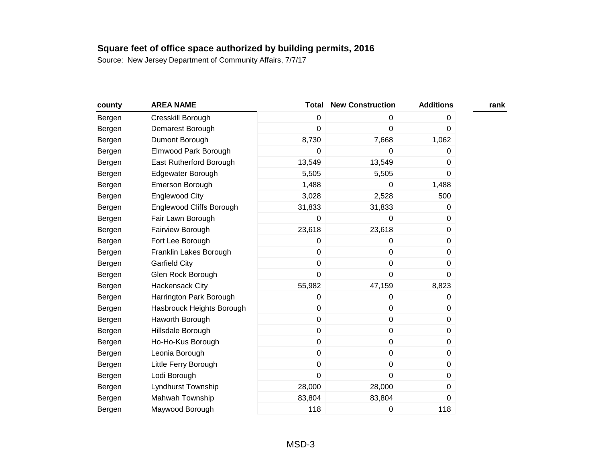| county | <b>AREA NAME</b>                | <b>Total</b> | <b>New Construction</b> | <b>Additions</b> | rank |
|--------|---------------------------------|--------------|-------------------------|------------------|------|
| Bergen | Cresskill Borough               | 0            | 0                       | 0                |      |
| Bergen | Demarest Borough                | 0            | 0                       | 0                |      |
| Bergen | Dumont Borough                  | 8,730        | 7,668                   | 1,062            |      |
| Bergen | Elmwood Park Borough            | 0            | $\mathbf 0$             | 0                |      |
| Bergen | East Rutherford Borough         | 13,549       | 13,549                  | 0                |      |
| Bergen | Edgewater Borough               | 5,505        | 5,505                   | 0                |      |
| Bergen | Emerson Borough                 | 1,488        | 0                       | 1,488            |      |
| Bergen | <b>Englewood City</b>           | 3,028        | 2,528                   | 500              |      |
| Bergen | <b>Englewood Cliffs Borough</b> | 31,833       | 31,833                  | 0                |      |
| Bergen | Fair Lawn Borough               | 0            | 0                       | 0                |      |
| Bergen | Fairview Borough                | 23,618       | 23,618                  | 0                |      |
| Bergen | Fort Lee Borough                | 0            | 0                       | 0                |      |
| Bergen | Franklin Lakes Borough          | 0            | $\pmb{0}$               | 0                |      |
| Bergen | <b>Garfield City</b>            | 0            | $\pmb{0}$               | 0                |      |
| Bergen | Glen Rock Borough               | 0            | $\pmb{0}$               | $\mathbf 0$      |      |
| Bergen | Hackensack City                 | 55,982       | 47,159                  | 8,823            |      |
| Bergen | Harrington Park Borough         | 0            | $\pmb{0}$               | 0                |      |
| Bergen | Hasbrouck Heights Borough       | 0            | 0                       | 0                |      |
| Bergen | Haworth Borough                 | 0            | $\pmb{0}$               | 0                |      |
| Bergen | Hillsdale Borough               | 0            | $\pmb{0}$               | 0                |      |
| Bergen | Ho-Ho-Kus Borough               | 0            | 0                       | 0                |      |
| Bergen | Leonia Borough                  | 0            | $\pmb{0}$               | 0                |      |
| Bergen | Little Ferry Borough            | 0            | $\pmb{0}$               | 0                |      |
| Bergen | Lodi Borough                    | 0            | $\mathbf 0$             | 0                |      |
| Bergen | Lyndhurst Township              | 28,000       | 28,000                  | 0                |      |
| Bergen | Mahwah Township                 | 83,804       | 83,804                  | 0                |      |
| Bergen | Maywood Borough                 | 118          | 0                       | 118              |      |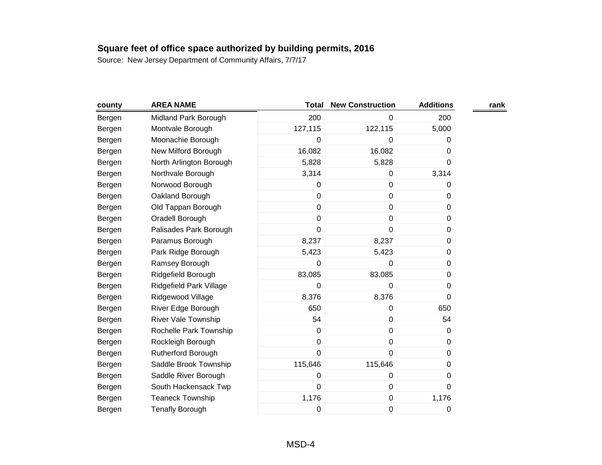| county | <b>AREA NAME</b>           | <b>Total</b> | <b>New Construction</b> | <b>Additions</b> | rank |
|--------|----------------------------|--------------|-------------------------|------------------|------|
| Bergen | Midland Park Borough       | 200          | 0                       | 200              |      |
| Bergen | Montvale Borough           | 127,115      | 122,115                 | 5,000            |      |
| Bergen | Moonachie Borough          | 0            | 0                       | 0                |      |
| Bergen | New Milford Borough        | 16,082       | 16,082                  | 0                |      |
| Bergen | North Arlington Borough    | 5,828        | 5,828                   | 0                |      |
| Bergen | Northvale Borough          | 3,314        | 0                       | 3,314            |      |
| Bergen | Norwood Borough            | 0            | $\pmb{0}$               | 0                |      |
| Bergen | Oakland Borough            | 0            | $\pmb{0}$               | 0                |      |
| Bergen | Old Tappan Borough         | 0            | $\pmb{0}$               | 0                |      |
| Bergen | Oradell Borough            | 0            | $\pmb{0}$               | 0                |      |
| Bergen | Palisades Park Borough     | 0            | 0                       | 0                |      |
| Bergen | Paramus Borough            | 8,237        | 8,237                   | 0                |      |
| Bergen | Park Ridge Borough         | 5,423        | 5,423                   | 0                |      |
| Bergen | Ramsey Borough             | 0            | 0                       | 0                |      |
| Bergen | Ridgefield Borough         | 83,085       | 83,085                  | 0                |      |
| Bergen | Ridgefield Park Village    | 0            | 0                       | 0                |      |
| Bergen | Ridgewood Village          | 8,376        | 8,376                   | 0                |      |
| Bergen | River Edge Borough         | 650          | 0                       | 650              |      |
| Bergen | <b>River Vale Township</b> | 54           | $\pmb{0}$               | 54               |      |
| Bergen | Rochelle Park Township     | 0            | $\pmb{0}$               | 0                |      |
| Bergen | Rockleigh Borough          | 0            | $\pmb{0}$               | 0                |      |
| Bergen | Rutherford Borough         | 0            | $\mathbf 0$             | 0                |      |
| Bergen | Saddle Brook Township      | 115,646      | 115,646                 | 0                |      |
| Bergen | Saddle River Borough       | 0            | 0                       | 0                |      |
| Bergen | South Hackensack Twp       | 0            | $\pmb{0}$               | 0                |      |
| Bergen | <b>Teaneck Township</b>    | 1,176        | $\pmb{0}$               | 1,176            |      |
| Bergen | <b>Tenafly Borough</b>     | 0            | $\pmb{0}$               | 0                |      |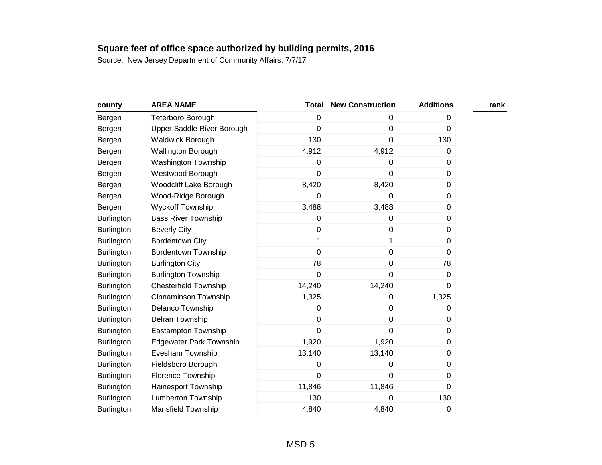| county            | <b>AREA NAME</b>               | <b>Total</b>   | <b>New Construction</b> | <b>Additions</b> | rank |
|-------------------|--------------------------------|----------------|-------------------------|------------------|------|
| Bergen            | Teterboro Borough              | $\mathbf 0$    | 0                       | 0                |      |
| Bergen            | Upper Saddle River Borough     | $\mathbf 0$    | $\boldsymbol{0}$        | 0                |      |
| Bergen            | Waldwick Borough               | 130            | 0                       | 130              |      |
| Bergen            | Wallington Borough             | 4,912          | 4,912                   | 0                |      |
| Bergen            | <b>Washington Township</b>     | $\pmb{0}$      | 0                       | 0                |      |
| Bergen            | Westwood Borough               | $\mathbf 0$    | 0                       | 0                |      |
| Bergen            | Woodcliff Lake Borough         | 8,420          | 8,420                   | 0                |      |
| Bergen            | Wood-Ridge Borough             | 0              | 0                       | 0                |      |
| Bergen            | <b>Wyckoff Township</b>        | 3,488          | 3,488                   | 0                |      |
| Burlington        | <b>Bass River Township</b>     | 0              | $\mathbf 0$             | 0                |      |
| <b>Burlington</b> | <b>Beverly City</b>            | 0              | $\mathbf 0$             | 0                |      |
| <b>Burlington</b> | <b>Bordentown City</b>         | 1              | 1                       | 0                |      |
| <b>Burlington</b> | <b>Bordentown Township</b>     | $\mathbf 0$    | $\pmb{0}$               | 0                |      |
| <b>Burlington</b> | <b>Burlington City</b>         | 78             | $\mathbf 0$             | 78               |      |
| Burlington        | <b>Burlington Township</b>     | $\mathbf 0$    | $\mathbf 0$             | 0                |      |
| Burlington        | <b>Chesterfield Township</b>   | 14,240         | 14,240                  | 0                |      |
| <b>Burlington</b> | Cinnaminson Township           | 1,325          | 0                       | 1,325            |      |
| Burlington        | Delanco Township               | $\mathbf 0$    | $\pmb{0}$               | 0                |      |
| Burlington        | Delran Township                | $\mathbf 0$    | $\mathbf 0$             | 0                |      |
| <b>Burlington</b> | Eastampton Township            | $\mathbf 0$    | $\mathbf 0$             | 0                |      |
| <b>Burlington</b> | <b>Edgewater Park Township</b> | 1,920          | 1,920                   | 0                |      |
| Burlington        | Evesham Township               | 13,140         | 13,140                  | 0                |      |
| <b>Burlington</b> | Fieldsboro Borough             | 0              | 0                       | 0                |      |
| Burlington        | Florence Township              | $\overline{0}$ | $\mathbf 0$             | 0                |      |
| <b>Burlington</b> | Hainesport Township            | 11,846         | 11,846                  | 0                |      |
| <b>Burlington</b> | <b>Lumberton Township</b>      | 130            | 0                       | 130              |      |
| Burlington        | Mansfield Township             | 4,840          | 4,840                   | 0                |      |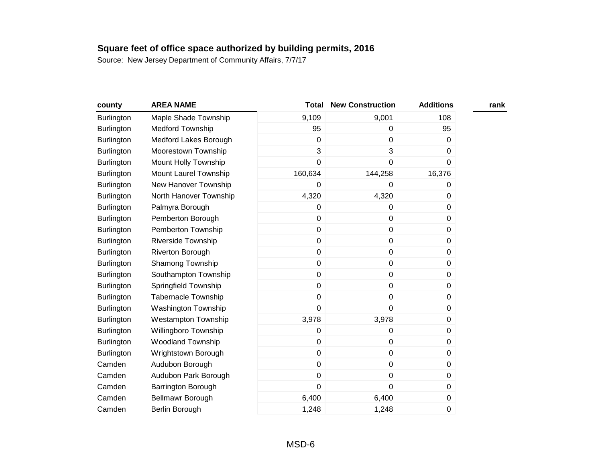| county            | <b>AREA NAME</b>           | <b>Total</b> | <b>New Construction</b> | <b>Additions</b> | rank |
|-------------------|----------------------------|--------------|-------------------------|------------------|------|
| <b>Burlington</b> | Maple Shade Township       | 9,109        | 9,001                   | 108              |      |
| <b>Burlington</b> | <b>Medford Township</b>    | 95           | $\boldsymbol{0}$        | 95               |      |
| <b>Burlington</b> | Medford Lakes Borough      | $\Omega$     | 0                       | 0                |      |
| Burlington        | Moorestown Township        | 3            | 3                       | 0                |      |
| <b>Burlington</b> | Mount Holly Township       | 0            | $\boldsymbol{0}$        | 0                |      |
| <b>Burlington</b> | Mount Laurel Township      | 160,634      | 144,258                 | 16,376           |      |
| Burlington        | New Hanover Township       | 0            | $\boldsymbol{0}$        | 0                |      |
| <b>Burlington</b> | North Hanover Township     | 4,320        | 4,320                   | 0                |      |
| <b>Burlington</b> | Palmyra Borough            | 0            | 0                       | 0                |      |
| <b>Burlington</b> | Pemberton Borough          | 0            | $\mathbf 0$             | 0                |      |
| <b>Burlington</b> | Pemberton Township         | 0            | $\mathbf 0$             | 0                |      |
| <b>Burlington</b> | <b>Riverside Township</b>  | 0            | $\boldsymbol{0}$        | 0                |      |
| Burlington        | Riverton Borough           | 0            | $\boldsymbol{0}$        | 0                |      |
| <b>Burlington</b> | Shamong Township           | 0            | $\mathbf 0$             | 0                |      |
| <b>Burlington</b> | Southampton Township       | 0            | $\pmb{0}$               | 0                |      |
| Burlington        | Springfield Township       | 0            | $\mathbf 0$             | 0                |      |
| <b>Burlington</b> | <b>Tabernacle Township</b> | 0            | $\boldsymbol{0}$        | 0                |      |
| <b>Burlington</b> | Washington Township        | $\mathbf 0$  | $\mathbf 0$             | 0                |      |
| Burlington        | <b>Westampton Township</b> | 3,978        | 3,978                   | 0                |      |
| <b>Burlington</b> | Willingboro Township       | 0            | $\boldsymbol{0}$        | 0                |      |
| Burlington        | <b>Woodland Township</b>   | 0            | $\mathbf 0$             | 0                |      |
| <b>Burlington</b> | Wrightstown Borough        | 0            | $\mathbf 0$             | 0                |      |
| Camden            | Audubon Borough            | $\mathbf 0$  | $\pmb{0}$               | 0                |      |
| Camden            | Audubon Park Borough       | 0            | $\mathbf 0$             | 0                |      |
| Camden            | Barrington Borough         | 0            | $\mathbf 0$             | 0                |      |
| Camden            | Bellmawr Borough           | 6,400        | 6,400                   | 0                |      |
| Camden            | Berlin Borough             | 1,248        | 1,248                   | 0                |      |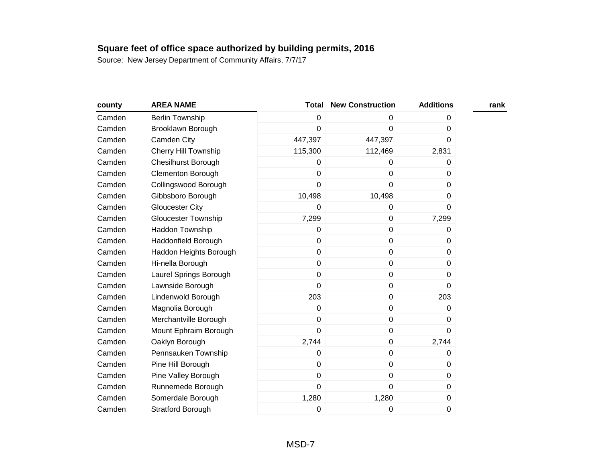| county | <b>AREA NAME</b>            | <b>Total</b>   | <b>New Construction</b> | <b>Additions</b> | rank |
|--------|-----------------------------|----------------|-------------------------|------------------|------|
| Camden | <b>Berlin Township</b>      | $\mathbf 0$    | $\Omega$                | 0                |      |
| Camden | Brooklawn Borough           | $\mathbf 0$    | 0                       | 0                |      |
| Camden | Camden City                 | 447,397        | 447,397                 | 0                |      |
| Camden | <b>Cherry Hill Township</b> | 115,300        | 112,469                 | 2,831            |      |
| Camden | <b>Chesilhurst Borough</b>  | 0              | 0                       | 0                |      |
| Camden | <b>Clementon Borough</b>    | $\mathbf 0$    | 0                       | 0                |      |
| Camden | Collingswood Borough        | $\mathbf 0$    | $\mathbf 0$             | 0                |      |
| Camden | Gibbsboro Borough           | 10,498         | 10,498                  | 0                |      |
| Camden | <b>Gloucester City</b>      | $\Omega$       | 0                       | 0                |      |
| Camden | Gloucester Township         | 7,299          | $\mathbf 0$             | 7,299            |      |
| Camden | Haddon Township             | 0              | 0                       | 0                |      |
| Camden | Haddonfield Borough         | $\mathbf 0$    | $\pmb{0}$               | 0                |      |
| Camden | Haddon Heights Borough      | $\mathbf 0$    | $\mathbf 0$             | $\Omega$         |      |
| Camden | Hi-nella Borough            | $\mathbf 0$    | $\mathbf 0$             | 0                |      |
| Camden | Laurel Springs Borough      | $\mathbf 0$    | $\pmb{0}$               | 0                |      |
| Camden | Lawnside Borough            | $\overline{0}$ | $\mathbf 0$             | 0                |      |
| Camden | Lindenwold Borough          | 203            | $\pmb{0}$               | 203              |      |
| Camden | Magnolia Borough            | $\mathbf 0$    | $\pmb{0}$               | 0                |      |
| Camden | Merchantville Borough       | $\mathbf 0$    | $\mathbf 0$             | 0                |      |
| Camden | Mount Ephraim Borough       | $\mathbf 0$    | $\pmb{0}$               | $\Omega$         |      |
| Camden | Oaklyn Borough              | 2,744          | $\mathbf 0$             | 2,744            |      |
| Camden | Pennsauken Township         | 0              | $\mathbf 0$             | 0                |      |
| Camden | Pine Hill Borough           | $\mathbf 0$    | $\pmb{0}$               | 0                |      |
| Camden | Pine Valley Borough         | $\mathbf 0$    | $\mathbf 0$             | $\Omega$         |      |
| Camden | Runnemede Borough           | $\mathbf 0$    | $\mathbf 0$             | 0                |      |
| Camden | Somerdale Borough           | 1,280          | 1,280                   | 0                |      |
| Camden | <b>Stratford Borough</b>    | 0              | 0                       | 0                |      |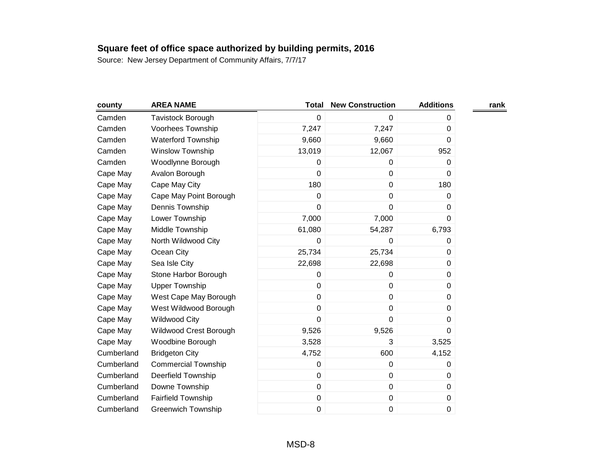| county     | <b>AREA NAME</b>           | <b>Total</b> | <b>New Construction</b> | <b>Additions</b> | rank |
|------------|----------------------------|--------------|-------------------------|------------------|------|
| Camden     | Tavistock Borough          | 0            | 0                       | 0                |      |
| Camden     | Voorhees Township          | 7,247        | 7,247                   | 0                |      |
| Camden     | <b>Waterford Township</b>  | 9,660        | 9,660                   | 0                |      |
| Camden     | <b>Winslow Township</b>    | 13,019       | 12,067                  | 952              |      |
| Camden     | Woodlynne Borough          | 0            | 0                       | 0                |      |
| Cape May   | Avalon Borough             | 0            | $\pmb{0}$               | 0                |      |
| Cape May   | Cape May City              | 180          | $\pmb{0}$               | 180              |      |
| Cape May   | Cape May Point Borough     | 0            | 0                       | 0                |      |
| Cape May   | Dennis Township            | 0            | 0                       | 0                |      |
| Cape May   | Lower Township             | 7,000        | 7,000                   | 0                |      |
| Cape May   | Middle Township            | 61,080       | 54,287                  | 6,793            |      |
| Cape May   | North Wildwood City        | 0            | 0                       | 0                |      |
| Cape May   | Ocean City                 | 25,734       | 25,734                  | 0                |      |
| Cape May   | Sea Isle City              | 22,698       | 22,698                  | 0                |      |
| Cape May   | Stone Harbor Borough       | 0            | 0                       | 0                |      |
| Cape May   | <b>Upper Township</b>      | 0            | $\pmb{0}$               | 0                |      |
| Cape May   | West Cape May Borough      | 0            | $\pmb{0}$               | 0                |      |
| Cape May   | West Wildwood Borough      | 0            | 0                       | 0                |      |
| Cape May   | <b>Wildwood City</b>       | 0            | 0                       | 0                |      |
| Cape May   | Wildwood Crest Borough     | 9,526        | 9,526                   | 0                |      |
| Cape May   | Woodbine Borough           | 3,528        | 3                       | 3,525            |      |
| Cumberland | <b>Bridgeton City</b>      | 4,752        | 600                     | 4,152            |      |
| Cumberland | <b>Commercial Township</b> | 0            | 0                       | 0                |      |
| Cumberland | <b>Deerfield Township</b>  | 0            | 0                       | 0                |      |
| Cumberland | Downe Township             | 0            | $\pmb{0}$               | 0                |      |
| Cumberland | <b>Fairfield Township</b>  | 0            | $\pmb{0}$               | 0                |      |
| Cumberland | <b>Greenwich Township</b>  | 0            | 0                       | 0                |      |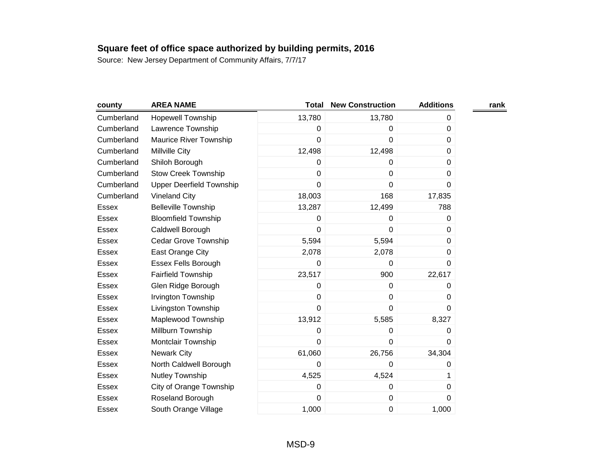| county       | <b>AREA NAME</b>                | <b>Total</b> | <b>New Construction</b> | <b>Additions</b> | rank |
|--------------|---------------------------------|--------------|-------------------------|------------------|------|
| Cumberland   | <b>Hopewell Township</b>        | 13,780       | 13,780                  | 0                |      |
| Cumberland   | Lawrence Township               | 0            | 0                       | $\Omega$         |      |
| Cumberland   | Maurice River Township          | 0            | 0                       | 0                |      |
| Cumberland   | Millville City                  | 12,498       | 12,498                  | 0                |      |
| Cumberland   | Shiloh Borough                  | 0            | $\mathbf 0$             | 0                |      |
| Cumberland   | <b>Stow Creek Township</b>      | 0            | 0                       | 0                |      |
| Cumberland   | <b>Upper Deerfield Township</b> | 0            | $\mathbf 0$             | 0                |      |
| Cumberland   | <b>Vineland City</b>            | 18,003       | 168                     | 17,835           |      |
| Essex        | <b>Belleville Township</b>      | 13,287       | 12,499                  | 788              |      |
| <b>Essex</b> | <b>Bloomfield Township</b>      | 0            | 0                       | 0                |      |
| <b>Essex</b> | Caldwell Borough                | 0            | $\mathbf 0$             | 0                |      |
| Essex        | Cedar Grove Township            | 5,594        | 5,594                   | 0                |      |
| Essex        | East Orange City                | 2,078        | 2,078                   | 0                |      |
| <b>Essex</b> | Essex Fells Borough             | 0            | $\mathbf 0$             | $\mathbf 0$      |      |
| Essex        | <b>Fairfield Township</b>       | 23,517       | 900                     | 22,617           |      |
| Essex        | Glen Ridge Borough              | 0            | 0                       | 0                |      |
| Essex        | Irvington Township              | 0            | $\pmb{0}$               | 0                |      |
| Essex        | Livingston Township             | 0            | $\mathbf 0$             | 0                |      |
| Essex        | Maplewood Township              | 13,912       | 5,585                   | 8,327            |      |
| Essex        | Millburn Township               | 0            | 0                       | 0                |      |
| Essex        | Montclair Township              | $\mathbf 0$  | $\mathbf 0$             | 0                |      |
| Essex        | <b>Newark City</b>              | 61,060       | 26,756                  | 34,304           |      |
| <b>Essex</b> | North Caldwell Borough          | 0            | 0                       | 0                |      |
| Essex        | Nutley Township                 | 4,525        | 4,524                   | 1                |      |
| Essex        | City of Orange Township         | 0            | $\mathbf 0$             | 0                |      |
| Essex        | Roseland Borough                | 0            | $\pmb{0}$               | 0                |      |
| Essex        | South Orange Village            | 1,000        | 0                       | 1,000            |      |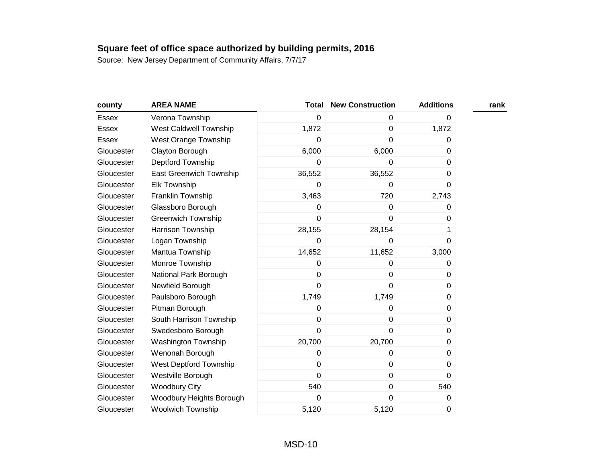| county       | <b>AREA NAME</b>              | <b>Total</b> | <b>New Construction</b> | <b>Additions</b> | rank |
|--------------|-------------------------------|--------------|-------------------------|------------------|------|
| <b>Essex</b> | Verona Township               | $\mathbf 0$  | $\mathbf 0$             | 0                |      |
| Essex        | <b>West Caldwell Township</b> | 1,872        | $\mathbf 0$             | 1,872            |      |
| <b>Essex</b> | West Orange Township          | 0            | 0                       | 0                |      |
| Gloucester   | Clayton Borough               | 6,000        | 6,000                   | 0                |      |
| Gloucester   | Deptford Township             | 0            | 0                       | $\Omega$         |      |
| Gloucester   | East Greenwich Township       | 36,552       | 36,552                  | 0                |      |
| Gloucester   | <b>Elk Township</b>           | 0            | 0                       | 0                |      |
| Gloucester   | Franklin Township             | 3,463        | 720                     | 2,743            |      |
| Gloucester   | Glassboro Borough             | 0            | $\mathbf 0$             | 0                |      |
| Gloucester   | <b>Greenwich Township</b>     | $\mathbf 0$  | $\mathbf 0$             | 0                |      |
| Gloucester   | Harrison Township             | 28,155       | 28,154                  | 1                |      |
| Gloucester   | Logan Township                | 0            | 0                       | 0                |      |
| Gloucester   | Mantua Township               | 14,652       | 11,652                  | 3,000            |      |
| Gloucester   | Monroe Township               | 0            | 0                       | 0                |      |
| Gloucester   | National Park Borough         | $\mathbf 0$  | $\mathbf 0$             | 0                |      |
| Gloucester   | Newfield Borough              | $\mathbf 0$  | $\mathbf 0$             | 0                |      |
| Gloucester   | Paulsboro Borough             | 1,749        | 1,749                   | 0                |      |
| Gloucester   | Pitman Borough                | $\mathbf 0$  | 0                       | 0                |      |
| Gloucester   | South Harrison Township       | $\mathbf 0$  | 0                       | 0                |      |
| Gloucester   | Swedesboro Borough            | $\mathbf 0$  | $\mathbf 0$             | 0                |      |
| Gloucester   | <b>Washington Township</b>    | 20,700       | 20,700                  | 0                |      |
| Gloucester   | Wenonah Borough               | 0            | 0                       | 0                |      |
| Gloucester   | West Deptford Township        | $\mathbf 0$  | $\mathbf 0$             | 0                |      |
| Gloucester   | Westville Borough             | $\mathbf 0$  | $\pmb{0}$               | $\Omega$         |      |
| Gloucester   | <b>Woodbury City</b>          | 540          | 0                       | 540              |      |
| Gloucester   | Woodbury Heights Borough      | $\mathbf 0$  | $\mathbf 0$             | 0                |      |
| Gloucester   | <b>Woolwich Township</b>      | 5,120        | 5,120                   | 0                |      |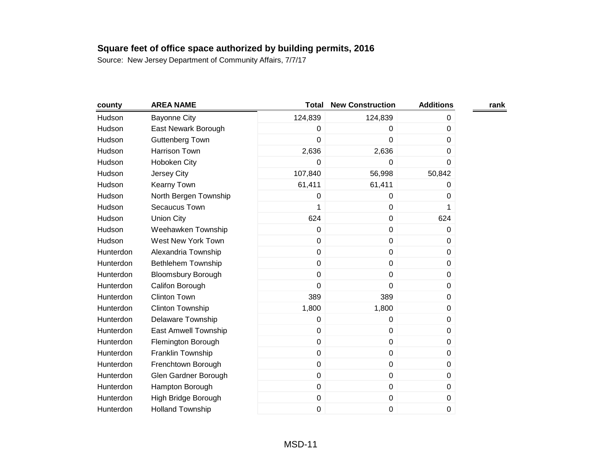| county    | <b>AREA NAME</b>            | <b>Total</b> | <b>New Construction</b> | <b>Additions</b> | rank |
|-----------|-----------------------------|--------------|-------------------------|------------------|------|
| Hudson    | <b>Bayonne City</b>         | 124,839      | 124,839                 | 0                |      |
| Hudson    | East Newark Borough         | 0            | 0                       | 0                |      |
| Hudson    | Guttenberg Town             | 0            | 0                       | 0                |      |
| Hudson    | Harrison Town               | 2,636        | 2,636                   | 0                |      |
| Hudson    | Hoboken City                | 0            | 0                       | 0                |      |
| Hudson    | Jersey City                 | 107,840      | 56,998                  | 50,842           |      |
| Hudson    | Kearny Town                 | 61,411       | 61,411                  | 0                |      |
| Hudson    | North Bergen Township       | 0            | 0                       | 0                |      |
| Hudson    | Secaucus Town               | 1            | $\mathbf 0$             | 1                |      |
| Hudson    | <b>Union City</b>           | 624          | $\pmb{0}$               | 624              |      |
| Hudson    | Weehawken Township          | 0            | $\mathbf 0$             | 0                |      |
| Hudson    | West New York Town          | 0            | $\pmb{0}$               | 0                |      |
| Hunterdon | Alexandria Township         | 0            | $\pmb{0}$               | 0                |      |
| Hunterdon | Bethlehem Township          | 0            | $\mathbf 0$             | 0                |      |
| Hunterdon | <b>Bloomsbury Borough</b>   | 0            | $\pmb{0}$               | 0                |      |
| Hunterdon | Califon Borough             | 0            | 0                       | 0                |      |
| Hunterdon | <b>Clinton Town</b>         | 389          | 389                     | 0                |      |
| Hunterdon | <b>Clinton Township</b>     | 1,800        | 1,800                   | 0                |      |
| Hunterdon | <b>Delaware Township</b>    | 0            | 0                       | 0                |      |
| Hunterdon | <b>East Amwell Township</b> | 0            | $\mathbf 0$             | 0                |      |
| Hunterdon | Flemington Borough          | 0            | $\pmb{0}$               | 0                |      |
| Hunterdon | Franklin Township           | 0            | $\pmb{0}$               | 0                |      |
| Hunterdon | Frenchtown Borough          | 0            | $\pmb{0}$               | 0                |      |
| Hunterdon | Glen Gardner Borough        | 0            | $\pmb{0}$               | 0                |      |
| Hunterdon | Hampton Borough             | 0            | $\pmb{0}$               | 0                |      |
| Hunterdon | High Bridge Borough         | 0            | $\pmb{0}$               | 0                |      |
| Hunterdon | <b>Holland Township</b>     | 0            | $\mathbf 0$             | 0                |      |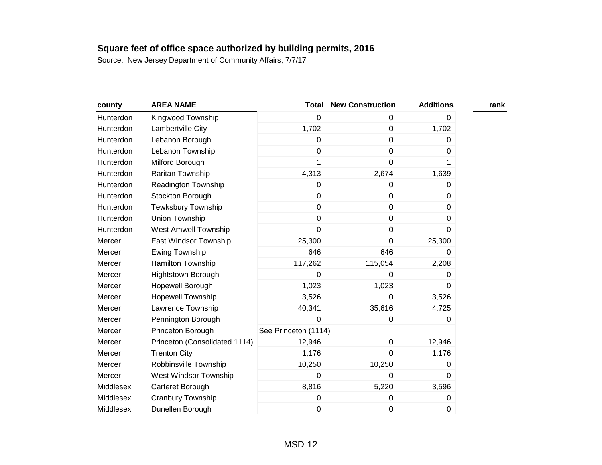| county    | <b>AREA NAME</b>              | <b>Total</b>         | <b>New Construction</b> | <b>Additions</b> | rank |
|-----------|-------------------------------|----------------------|-------------------------|------------------|------|
| Hunterdon | Kingwood Township             | $\mathbf 0$          | $\mathbf 0$             | 0                |      |
| Hunterdon | Lambertville City             | 1,702                | $\pmb{0}$               | 1,702            |      |
| Hunterdon | Lebanon Borough               | 0                    | $\mathbf 0$             | 0                |      |
| Hunterdon | Lebanon Township              | $\mathbf 0$          | $\mathbf 0$             | 0                |      |
| Hunterdon | Milford Borough               | 1                    | $\mathbf 0$             | 1                |      |
| Hunterdon | Raritan Township              | 4,313                | 2,674                   | 1,639            |      |
| Hunterdon | <b>Readington Township</b>    | $\pmb{0}$            | $\boldsymbol{0}$        | 0                |      |
| Hunterdon | Stockton Borough              | $\mathbf 0$          | $\mathbf 0$             | 0                |      |
| Hunterdon | <b>Tewksbury Township</b>     | $\mathbf 0$          | $\mathbf 0$             | $\Omega$         |      |
| Hunterdon | Union Township                | $\pmb{0}$            | $\pmb{0}$               | 0                |      |
| Hunterdon | <b>West Amwell Township</b>   | $\overline{0}$       | $\mathbf 0$             | 0                |      |
| Mercer    | East Windsor Township         | 25,300               | $\boldsymbol{0}$        | 25,300           |      |
| Mercer    | Ewing Township                | 646                  | 646                     | 0                |      |
| Mercer    | Hamilton Township             | 117,262              | 115,054                 | 2,208            |      |
| Mercer    | <b>Hightstown Borough</b>     | 0                    | 0                       | 0                |      |
| Mercer    | Hopewell Borough              | 1,023                | 1,023                   | 0                |      |
| Mercer    | <b>Hopewell Township</b>      | 3,526                | $\mathbf 0$             | 3,526            |      |
| Mercer    | Lawrence Township             | 40,341               | 35,616                  | 4,725            |      |
| Mercer    | Pennington Borough            | 0                    | 0                       | 0                |      |
| Mercer    | Princeton Borough             | See Princeton (1114) |                         |                  |      |
| Mercer    | Princeton (Consolidated 1114) | 12,946               | $\pmb{0}$               | 12,946           |      |
| Mercer    | <b>Trenton City</b>           | 1,176                | $\mathbf 0$             | 1,176            |      |
| Mercer    | Robbinsville Township         | 10,250               | 10,250                  | 0                |      |
| Mercer    | West Windsor Township         | $\mathbf 0$          | 0                       | $\Omega$         |      |
| Middlesex | Carteret Borough              | 8,816                | 5,220                   | 3,596            |      |
| Middlesex | Cranbury Township             | 0                    | $\boldsymbol{0}$        | 0                |      |
| Middlesex | Dunellen Borough              | $\mathbf 0$          | 0                       | 0                |      |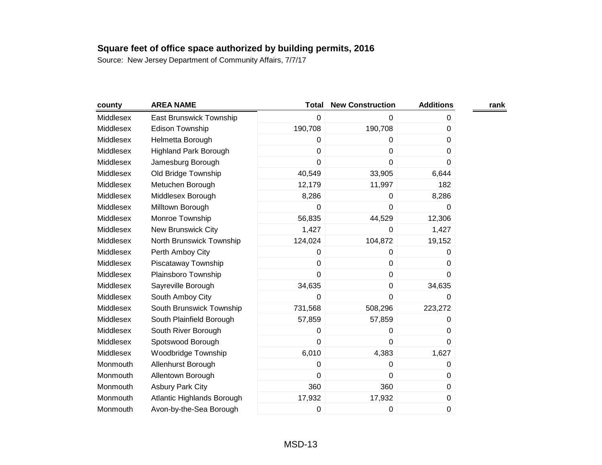| county    | <b>AREA NAME</b>             | <b>Total</b>   | <b>New Construction</b> | <b>Additions</b> | rank |
|-----------|------------------------------|----------------|-------------------------|------------------|------|
| Middlesex | East Brunswick Township      | 0              | 0                       | 0                |      |
| Middlesex | <b>Edison Township</b>       | 190,708        | 190,708                 | 0                |      |
| Middlesex | Helmetta Borough             | 0              | 0                       | 0                |      |
| Middlesex | <b>Highland Park Borough</b> | 0              | $\mathbf 0$             | 0                |      |
| Middlesex | Jamesburg Borough            | $\overline{0}$ | $\mathbf 0$             | 0                |      |
| Middlesex | Old Bridge Township          | 40,549         | 33,905                  | 6,644            |      |
| Middlesex | Metuchen Borough             | 12,179         | 11,997                  | 182              |      |
| Middlesex | Middlesex Borough            | 8,286          | 0                       | 8,286            |      |
| Middlesex | Milltown Borough             | 0              | 0                       | 0                |      |
| Middlesex | Monroe Township              | 56,835         | 44,529                  | 12,306           |      |
| Middlesex | New Brunswick City           | 1,427          | 0                       | 1,427            |      |
| Middlesex | North Brunswick Township     | 124,024        | 104,872                 | 19,152           |      |
| Middlesex | Perth Amboy City             | 0              | 0                       | 0                |      |
| Middlesex | Piscataway Township          | $\overline{0}$ | 0                       | 0                |      |
| Middlesex | Plainsboro Township          | 0              | $\mathbf 0$             | 0                |      |
| Middlesex | Sayreville Borough           | 34,635         | $\pmb{0}$               | 34,635           |      |
| Middlesex | South Amboy City             | 0              | $\mathbf 0$             | 0                |      |
| Middlesex | South Brunswick Township     | 731,568        | 508,296                 | 223,272          |      |
| Middlesex | South Plainfield Borough     | 57,859         | 57,859                  | 0                |      |
| Middlesex | South River Borough          | 0              | 0                       | 0                |      |
| Middlesex | Spotswood Borough            | $\overline{0}$ | $\mathbf 0$             | $\Omega$         |      |
| Middlesex | Woodbridge Township          | 6,010          | 4,383                   | 1,627            |      |
| Monmouth  | Allenhurst Borough           | 0              | $\mathbf 0$             | 0                |      |
| Monmouth  | Allentown Borough            | 0              | $\mathbf 0$             | 0                |      |
| Monmouth  | <b>Asbury Park City</b>      | 360            | 360                     | 0                |      |
| Monmouth  | Atlantic Highlands Borough   | 17,932         | 17,932                  | 0                |      |
| Monmouth  | Avon-by-the-Sea Borough      | 0              | 0                       | 0                |      |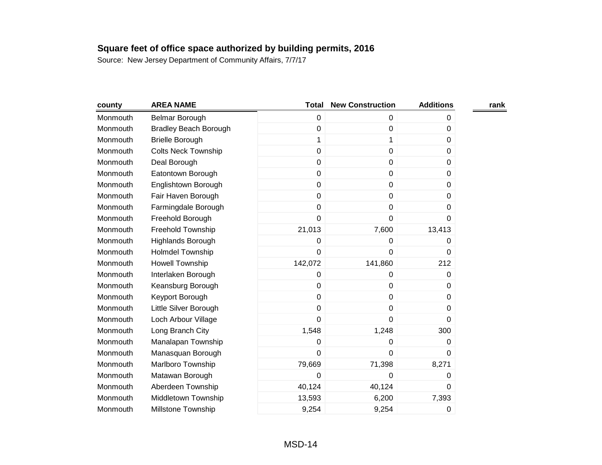| county   | <b>AREA NAME</b>             | <b>Total</b> | <b>New Construction</b> | <b>Additions</b> | rank |
|----------|------------------------------|--------------|-------------------------|------------------|------|
| Monmouth | Belmar Borough               | 0            | 0                       | 0                |      |
| Monmouth | <b>Bradley Beach Borough</b> | 0            | $\mathbf 0$             | 0                |      |
| Monmouth | <b>Brielle Borough</b>       | $\mathbf 1$  | 1                       | 0                |      |
| Monmouth | <b>Colts Neck Township</b>   | 0            | $\pmb{0}$               | 0                |      |
| Monmouth | Deal Borough                 | 0            | $\mathbf 0$             | 0                |      |
| Monmouth | Eatontown Borough            | 0            | $\pmb{0}$               | 0                |      |
| Monmouth | Englishtown Borough          | 0            | $\pmb{0}$               | 0                |      |
| Monmouth | Fair Haven Borough           | 0            | $\pmb{0}$               | 0                |      |
| Monmouth | Farmingdale Borough          | 0            | $\pmb{0}$               | 0                |      |
| Monmouth | Freehold Borough             | 0            | 0                       | 0                |      |
| Monmouth | Freehold Township            | 21,013       | 7,600                   | 13,413           |      |
| Monmouth | <b>Highlands Borough</b>     | 0            | $\mathbf 0$             | 0                |      |
| Monmouth | <b>Holmdel Township</b>      | 0            | 0                       | $\Omega$         |      |
| Monmouth | <b>Howell Township</b>       | 142,072      | 141,860                 | 212              |      |
| Monmouth | Interlaken Borough           | 0            | 0                       | 0                |      |
| Monmouth | Keansburg Borough            | 0            | 0                       | 0                |      |
| Monmouth | Keyport Borough              | 0            | $\pmb{0}$               | 0                |      |
| Monmouth | Little Silver Borough        | 0            | $\mathbf 0$             | 0                |      |
| Monmouth | Loch Arbour Village          | 0            | 0                       | 0                |      |
| Monmouth | Long Branch City             | 1,548        | 1,248                   | 300              |      |
| Monmouth | Manalapan Township           | 0            | 0                       | 0                |      |
| Monmouth | Manasquan Borough            | 0            | $\mathbf 0$             | 0                |      |
| Monmouth | Marlboro Township            | 79,669       | 71,398                  | 8,271            |      |
| Monmouth | Matawan Borough              | 0            | 0                       | 0                |      |
| Monmouth | Aberdeen Township            | 40,124       | 40,124                  | $\Omega$         |      |
| Monmouth | Middletown Township          | 13,593       | 6,200                   | 7,393            |      |
| Monmouth | <b>Millstone Township</b>    | 9,254        | 9,254                   | 0                |      |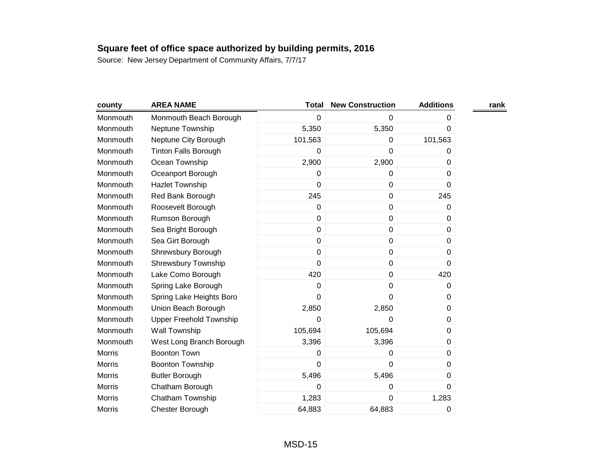| county        | <b>AREA NAME</b>            | <b>Total</b>   | <b>New Construction</b> | <b>Additions</b> | rank |
|---------------|-----------------------------|----------------|-------------------------|------------------|------|
| Monmouth      | Monmouth Beach Borough      | 0              | 0                       | 0                |      |
| Monmouth      | Neptune Township            | 5,350          | 5,350                   | 0                |      |
| Monmouth      | Neptune City Borough        | 101,563        | 0                       | 101,563          |      |
| Monmouth      | <b>Tinton Falls Borough</b> | 0              | 0                       | 0                |      |
| Monmouth      | Ocean Township              | 2,900          | 2,900                   | 0                |      |
| Monmouth      | Oceanport Borough           | 0              | 0                       | 0                |      |
| Monmouth      | <b>Hazlet Township</b>      | $\mathbf 0$    | $\mathbf 0$             | 0                |      |
| Monmouth      | Red Bank Borough            | 245            | 0                       | 245              |      |
| Monmouth      | Roosevelt Borough           | $\mathbf 0$    | $\pmb{0}$               | 0                |      |
| Monmouth      | Rumson Borough              | $\pmb{0}$      | $\pmb{0}$               | 0                |      |
| Monmouth      | Sea Bright Borough          | $\mathbf 0$    | 0                       | 0                |      |
| Monmouth      | Sea Girt Borough            | $\mathbf 0$    | $\pmb{0}$               | 0                |      |
| Monmouth      | Shrewsbury Borough          | $\mathbf 0$    | $\pmb{0}$               | 0                |      |
| Monmouth      | <b>Shrewsbury Township</b>  | $\mathbf 0$    | 0                       | 0                |      |
| Monmouth      | Lake Como Borough           | 420            | $\pmb{0}$               | 420              |      |
| Monmouth      | Spring Lake Borough         | 0              | 0                       | 0                |      |
| Monmouth      | Spring Lake Heights Boro    | $\overline{0}$ | 0                       | 0                |      |
| Monmouth      | Union Beach Borough         | 2,850          | 2,850                   | 0                |      |
| Monmouth      | Upper Freehold Township     | 0              | 0                       | 0                |      |
| Monmouth      | Wall Township               | 105,694        | 105,694                 | 0                |      |
| Monmouth      | West Long Branch Borough    | 3,396          | 3,396                   | 0                |      |
| <b>Morris</b> | <b>Boonton Town</b>         | 0              | 0                       | 0                |      |
| <b>Morris</b> | <b>Boonton Township</b>     | $\mathbf 0$    | 0                       | 0                |      |
| <b>Morris</b> | <b>Butler Borough</b>       | 5,496          | 5,496                   | 0                |      |
| <b>Morris</b> | Chatham Borough             | 0              | 0                       | 0                |      |
| <b>Morris</b> | Chatham Township            | 1,283          | 0                       | 1,283            |      |
| <b>Morris</b> | Chester Borough             | 64,883         | 64,883                  | 0                |      |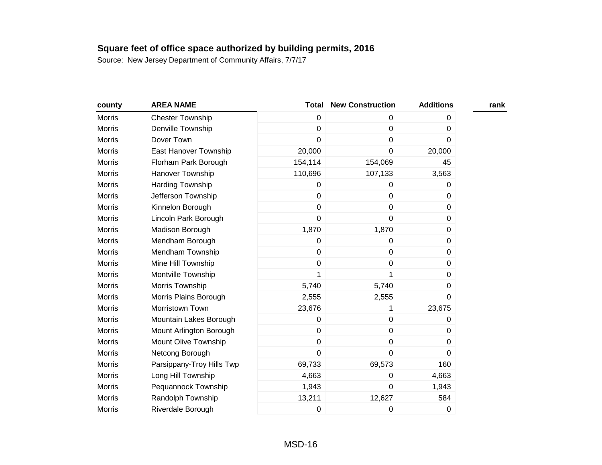| county        | <b>AREA NAME</b>          | <b>Total</b> | <b>New Construction</b> | <b>Additions</b> | rank |
|---------------|---------------------------|--------------|-------------------------|------------------|------|
| <b>Morris</b> | <b>Chester Township</b>   | 0            | $\mathbf 0$             | 0                |      |
| <b>Morris</b> | Denville Township         | 0            | 0                       | 0                |      |
| <b>Morris</b> | Dover Town                | 0            | 0                       | 0                |      |
| <b>Morris</b> | East Hanover Township     | 20,000       | $\pmb{0}$               | 20,000           |      |
| <b>Morris</b> | Florham Park Borough      | 154,114      | 154,069                 | 45               |      |
| <b>Morris</b> | Hanover Township          | 110,696      | 107,133                 | 3,563            |      |
| <b>Morris</b> | Harding Township          | 0            | 0                       | 0                |      |
| <b>Morris</b> | Jefferson Township        | 0            | $\mathbf 0$             | $\Omega$         |      |
| <b>Morris</b> | Kinnelon Borough          | 0            | 0                       | 0                |      |
| <b>Morris</b> | Lincoln Park Borough      | 0            | $\mathbf 0$             | 0                |      |
| <b>Morris</b> | Madison Borough           | 1,870        | 1,870                   | 0                |      |
| <b>Morris</b> | Mendham Borough           | 0            | 0                       | 0                |      |
| <b>Morris</b> | Mendham Township          | 0            | $\pmb{0}$               | 0                |      |
| <b>Morris</b> | Mine Hill Township        | 0            | $\pmb{0}$               | 0                |      |
| <b>Morris</b> | Montville Township        | 1            | 1                       | 0                |      |
| <b>Morris</b> | Morris Township           | 5,740        | 5,740                   | 0                |      |
| <b>Morris</b> | Morris Plains Borough     | 2,555        | 2,555                   | 0                |      |
| <b>Morris</b> | Morristown Town           | 23,676       | 1                       | 23,675           |      |
| <b>Morris</b> | Mountain Lakes Borough    | 0            | $\pmb{0}$               | 0                |      |
| <b>Morris</b> | Mount Arlington Borough   | 0            | $\mathbf 0$             | 0                |      |
| <b>Morris</b> | Mount Olive Township      | 0            | 0                       | 0                |      |
| <b>Morris</b> | Netcong Borough           | 0            | 0                       | 0                |      |
| <b>Morris</b> | Parsippany-Troy Hills Twp | 69,733       | 69,573                  | 160              |      |
| <b>Morris</b> | Long Hill Township        | 4,663        | 0                       | 4,663            |      |
| <b>Morris</b> | Pequannock Township       | 1,943        | 0                       | 1,943            |      |
| <b>Morris</b> | Randolph Township         | 13,211       | 12,627                  | 584              |      |
| <b>Morris</b> | Riverdale Borough         | 0            | 0                       | 0                |      |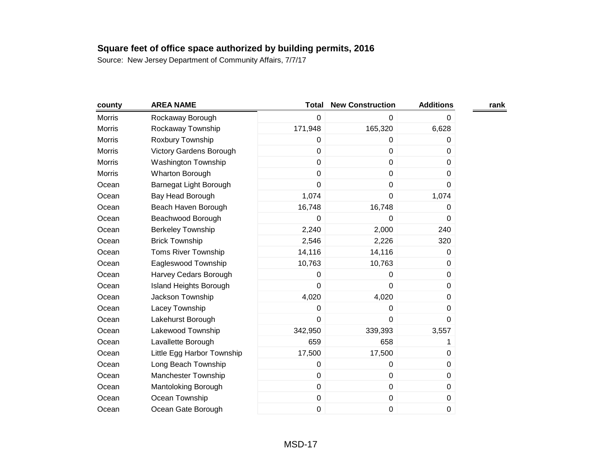| county        | <b>AREA NAME</b>           | <b>Total</b> | <b>New Construction</b> | <b>Additions</b> | rank |
|---------------|----------------------------|--------------|-------------------------|------------------|------|
| Morris        | Rockaway Borough           | $\mathbf 0$  | 0                       | 0                |      |
| <b>Morris</b> | Rockaway Township          | 171,948      | 165,320                 | 6,628            |      |
| <b>Morris</b> | Roxbury Township           | 0            | 0                       | 0                |      |
| Morris        | Victory Gardens Borough    | $\mathbf 0$  | $\pmb{0}$               | 0                |      |
| <b>Morris</b> | <b>Washington Township</b> | $\mathbf 0$  | $\mathbf 0$             | $\Omega$         |      |
| <b>Morris</b> | Wharton Borough            | 0            | $\mathbf 0$             | 0                |      |
| Ocean         | Barnegat Light Borough     | $\mathbf 0$  | $\pmb{0}$               | 0                |      |
| Ocean         | Bay Head Borough           | 1,074        | $\mathbf 0$             | 1,074            |      |
| Ocean         | Beach Haven Borough        | 16,748       | 16,748                  | 0                |      |
| Ocean         | Beachwood Borough          | 0            | 0                       | 0                |      |
| Ocean         | <b>Berkeley Township</b>   | 2,240        | 2,000                   | 240              |      |
| Ocean         | <b>Brick Township</b>      | 2,546        | 2,226                   | 320              |      |
| Ocean         | <b>Toms River Township</b> | 14,116       | 14,116                  | 0                |      |
| Ocean         | Eagleswood Township        | 10,763       | 10,763                  | 0                |      |
| Ocean         | Harvey Cedars Borough      | $\mathbf 0$  | 0                       | 0                |      |
| Ocean         | Island Heights Borough     | 0            | 0                       | 0                |      |
| Ocean         | Jackson Township           | 4,020        | 4,020                   | 0                |      |
| Ocean         | Lacey Township             | $\mathbf 0$  | $\mathbf 0$             | $\Omega$         |      |
| Ocean         | Lakehurst Borough          | 0            | 0                       | 0                |      |
| Ocean         | Lakewood Township          | 342,950      | 339,393                 | 3,557            |      |
| Ocean         | Lavallette Borough         | 659          | 658                     | 1                |      |
| Ocean         | Little Egg Harbor Township | 17,500       | 17,500                  | $\boldsymbol{0}$ |      |
| Ocean         | Long Beach Township        | 0            | 0                       | 0                |      |
| Ocean         | Manchester Township        | $\mathbf 0$  | $\pmb{0}$               | 0                |      |
| Ocean         | Mantoloking Borough        | $\mathbf 0$  | $\pmb{0}$               | 0                |      |
| Ocean         | Ocean Township             | $\pmb{0}$    | $\pmb{0}$               | 0                |      |
| Ocean         | Ocean Gate Borough         | $\mathbf 0$  | 0                       | 0                |      |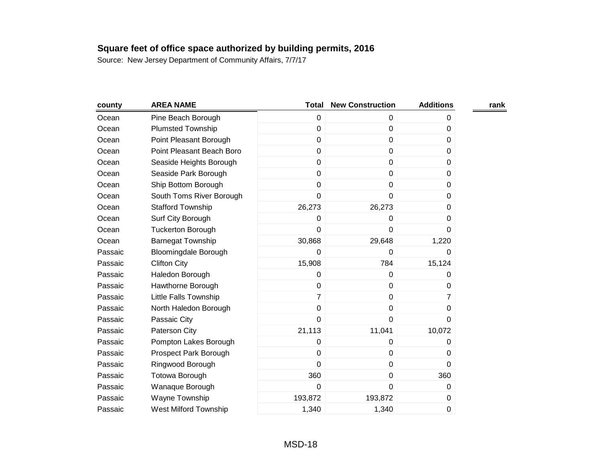| county  | <b>AREA NAME</b>             | <b>Total</b>   | <b>New Construction</b> | <b>Additions</b> | rank |
|---------|------------------------------|----------------|-------------------------|------------------|------|
| Ocean   | Pine Beach Borough           | $\mathbf 0$    | 0                       | 0                |      |
| Ocean   | <b>Plumsted Township</b>     | $\pmb{0}$      | $\mathbf 0$             | 0                |      |
| Ocean   | Point Pleasant Borough       | $\mathbf 0$    | $\mathbf 0$             | 0                |      |
| Ocean   | Point Pleasant Beach Boro    | $\mathbf 0$    | $\mathbf 0$             | 0                |      |
| Ocean   | Seaside Heights Borough      | $\pmb{0}$      | $\mathbf 0$             | 0                |      |
| Ocean   | Seaside Park Borough         | $\mathbf 0$    | $\pmb{0}$               | 0                |      |
| Ocean   | Ship Bottom Borough          | $\mathbf 0$    | $\mathbf 0$             | 0                |      |
| Ocean   | South Toms River Borough     | 0              | 0                       | 0                |      |
| Ocean   | <b>Stafford Township</b>     | 26,273         | 26,273                  | $\Omega$         |      |
| Ocean   | Surf City Borough            | 0              | 0                       | 0                |      |
| Ocean   | <b>Tuckerton Borough</b>     | $\overline{0}$ | 0                       | 0                |      |
| Ocean   | <b>Barnegat Township</b>     | 30,868         | 29,648                  | 1,220            |      |
| Passaic | <b>Bloomingdale Borough</b>  | 0              | 0                       | 0                |      |
| Passaic | <b>Clifton City</b>          | 15,908         | 784                     | 15,124           |      |
| Passaic | Haledon Borough              | $\pmb{0}$      | $\mathbf 0$             | 0                |      |
| Passaic | Hawthorne Borough            | $\mathbf 0$    | $\mathbf 0$             | $\Omega$         |      |
| Passaic | Little Falls Township        | $\overline{7}$ | $\pmb{0}$               | 7                |      |
| Passaic | North Haledon Borough        | $\mathbf 0$    | $\pmb{0}$               | 0                |      |
| Passaic | Passaic City                 | $\mathbf 0$    | 0                       | 0                |      |
| Passaic | Paterson City                | 21,113         | 11,041                  | 10,072           |      |
| Passaic | Pompton Lakes Borough        | $\mathbf 0$    | 0                       | 0                |      |
| Passaic | Prospect Park Borough        | $\mathbf 0$    | $\mathbf 0$             | 0                |      |
| Passaic | Ringwood Borough             | $\mathbf 0$    | $\pmb{0}$               | $\Omega$         |      |
| Passaic | <b>Totowa Borough</b>        | 360            | $\mathbf 0$             | 360              |      |
| Passaic | Wanaque Borough              | 0              | $\mathbf 0$             | 0                |      |
| Passaic | Wayne Township               | 193,872        | 193,872                 | 0                |      |
| Passaic | <b>West Milford Township</b> | 1,340          | 1,340                   | 0                |      |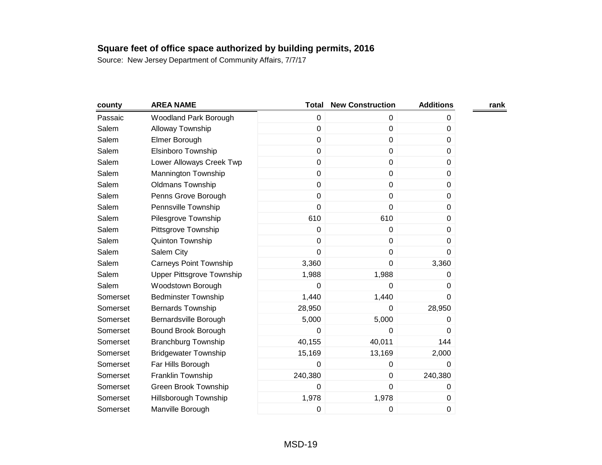| county   | <b>AREA NAME</b>              | <b>Total</b> | <b>New Construction</b> | <b>Additions</b> | rank |
|----------|-------------------------------|--------------|-------------------------|------------------|------|
| Passaic  | Woodland Park Borough         | 0            | 0                       | 0                |      |
| Salem    | Alloway Township              | $\mathbf 0$  | $\pmb{0}$               | 0                |      |
| Salem    | Elmer Borough                 | $\mathbf 0$  | $\mathbf 0$             | 0                |      |
| Salem    | <b>Elsinboro Township</b>     | $\mathbf 0$  | $\pmb{0}$               | $\mathbf 0$      |      |
| Salem    | Lower Alloways Creek Twp      | 0            | $\pmb{0}$               | 0                |      |
| Salem    | Mannington Township           | $\mathbf 0$  | $\pmb{0}$               | 0                |      |
| Salem    | <b>Oldmans Township</b>       | $\pmb{0}$    | $\pmb{0}$               | $\mathbf 0$      |      |
| Salem    | Penns Grove Borough           | $\mathbf 0$  | $\mathbf 0$             | $\Omega$         |      |
| Salem    | Pennsville Township           | $\mathbf 0$  | 0                       | 0                |      |
| Salem    | Pilesgrove Township           | 610          | 610                     | 0                |      |
| Salem    | Pittsgrove Township           | $\mathbf 0$  | $\pmb{0}$               | 0                |      |
| Salem    | Quinton Township              | 0            | $\pmb{0}$               | 0                |      |
| Salem    | Salem City                    | 0            | $\pmb{0}$               | 0                |      |
| Salem    | <b>Carneys Point Township</b> | 3,360        | 0                       | 3,360            |      |
| Salem    | Upper Pittsgrove Township     | 1,988        | 1,988                   | 0                |      |
| Salem    | Woodstown Borough             | 0            | 0                       | 0                |      |
| Somerset | <b>Bedminster Township</b>    | 1,440        | 1,440                   | 0                |      |
| Somerset | <b>Bernards Township</b>      | 28,950       | 0                       | 28,950           |      |
| Somerset | Bernardsville Borough         | 5,000        | 5,000                   | 0                |      |
| Somerset | Bound Brook Borough           | 0            | $\mathbf 0$             | 0                |      |
| Somerset | <b>Branchburg Township</b>    | 40,155       | 40,011                  | 144              |      |
| Somerset | <b>Bridgewater Township</b>   | 15,169       | 13,169                  | 2,000            |      |
| Somerset | Far Hills Borough             | 0            | $\pmb{0}$               | 0                |      |
| Somerset | Franklin Township             | 240,380      | $\pmb{0}$               | 240,380          |      |
| Somerset | Green Brook Township          | 0            | $\mathbf 0$             | 0                |      |
| Somerset | Hillsborough Township         | 1,978        | 1,978                   | 0                |      |
| Somerset | Manville Borough              | 0            | 0                       | 0                |      |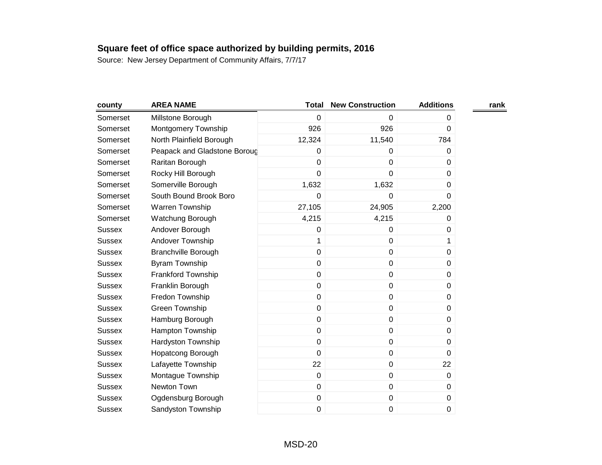| county        | <b>AREA NAME</b>             | <b>Total</b> | <b>New Construction</b> | <b>Additions</b> | rank |
|---------------|------------------------------|--------------|-------------------------|------------------|------|
| Somerset      | Millstone Borough            | 0            | 0                       | 0                |      |
| Somerset      | Montgomery Township          | 926          | 926                     | 0                |      |
| Somerset      | North Plainfield Borough     | 12,324       | 11,540                  | 784              |      |
| Somerset      | Peapack and Gladstone Boroug | 0            | 0                       | 0                |      |
| Somerset      | Raritan Borough              | 0            | 0                       | $\Omega$         |      |
| Somerset      | Rocky Hill Borough           | 0            | 0                       | 0                |      |
| Somerset      | Somerville Borough           | 1,632        | 1,632                   | 0                |      |
| Somerset      | South Bound Brook Boro       | 0            | 0                       | 0                |      |
| Somerset      | Warren Township              | 27,105       | 24,905                  | 2,200            |      |
| Somerset      | Watchung Borough             | 4,215        | 4,215                   | 0                |      |
| <b>Sussex</b> | Andover Borough              | 0            | 0                       | 0                |      |
| <b>Sussex</b> | Andover Township             | 1            | $\pmb{0}$               | 1                |      |
| <b>Sussex</b> | <b>Branchville Borough</b>   | $\mathbf 0$  | $\pmb{0}$               | 0                |      |
| <b>Sussex</b> | Byram Township               | 0            | 0                       | $\Omega$         |      |
| <b>Sussex</b> | Frankford Township           | 0            | $\pmb{0}$               | $\Omega$         |      |
| <b>Sussex</b> | Franklin Borough             | $\pmb{0}$    | $\pmb{0}$               | 0                |      |
| <b>Sussex</b> | Fredon Township              | 0            | $\mathbf 0$             | 0                |      |
| <b>Sussex</b> | <b>Green Township</b>        | 0            | $\pmb{0}$               | 0                |      |
| <b>Sussex</b> | Hamburg Borough              | $\mathbf 0$  | $\pmb{0}$               | 0                |      |
| <b>Sussex</b> | Hampton Township             | 0            | $\pmb{0}$               | 0                |      |
| <b>Sussex</b> | Hardyston Township           | 0            | $\pmb{0}$               | 0                |      |
| <b>Sussex</b> | Hopatcong Borough            | $\mathbf 0$  | $\pmb{0}$               | 0                |      |
| <b>Sussex</b> | Lafayette Township           | 22           | $\mathbf 0$             | 22               |      |
| <b>Sussex</b> | Montague Township            | $\mathsf 0$  | $\pmb{0}$               | 0                |      |
| <b>Sussex</b> | Newton Town                  | $\mathbf 0$  | $\mathbf 0$             | 0                |      |
| <b>Sussex</b> | Ogdensburg Borough           | 0            | $\pmb{0}$               | $\boldsymbol{0}$ |      |
| <b>Sussex</b> | Sandyston Township           | 0            | $\pmb{0}$               | $\mathbf 0$      |      |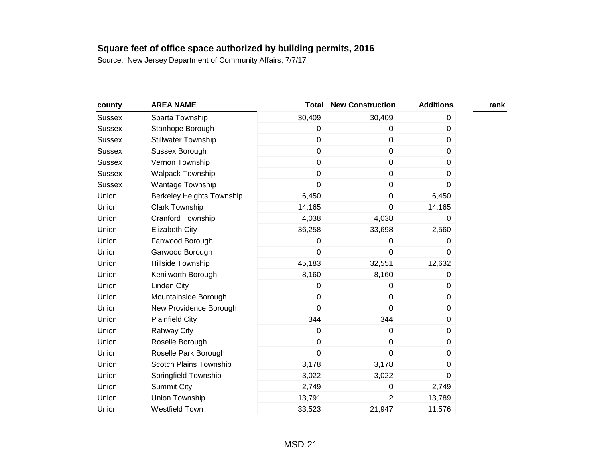| county        | <b>AREA NAME</b>                 | <b>Total</b> | <b>New Construction</b> | <b>Additions</b> | rank |
|---------------|----------------------------------|--------------|-------------------------|------------------|------|
| <b>Sussex</b> | Sparta Township                  | 30,409       | 30,409                  | 0                |      |
| <b>Sussex</b> | Stanhope Borough                 | $\pmb{0}$    | $\mathbf 0$             | 0                |      |
| <b>Sussex</b> | <b>Stillwater Township</b>       | $\mathbf 0$  | $\mathbf 0$             | 0                |      |
| <b>Sussex</b> | Sussex Borough                   | $\mathbf 0$  | $\pmb{0}$               | 0                |      |
| <b>Sussex</b> | Vernon Township                  | $\pmb{0}$    | $\mathbf 0$             | 0                |      |
| <b>Sussex</b> | Walpack Township                 | $\mathbf 0$  | $\pmb{0}$               | 0                |      |
| <b>Sussex</b> | Wantage Township                 | $\mathbf 0$  | $\pmb{0}$               | 0                |      |
| Union         | <b>Berkeley Heights Township</b> | 6,450        | $\mathbf 0$             | 6,450            |      |
| Union         | <b>Clark Township</b>            | 14,165       | 0                       | 14,165           |      |
| Union         | Cranford Township                | 4,038        | 4,038                   | 0                |      |
| Union         | <b>Elizabeth City</b>            | 36,258       | 33,698                  | 2,560            |      |
| Union         | Fanwood Borough                  | 0            | 0                       | 0                |      |
| Union         | Garwood Borough                  | $\mathbf 0$  | $\mathbf 0$             | 0                |      |
| Union         | Hillside Township                | 45,183       | 32,551                  | 12,632           |      |
| Union         | Kenilworth Borough               | 8,160        | 8,160                   | 0                |      |
| Union         | Linden City                      | 0            | 0                       | 0                |      |
| Union         | Mountainside Borough             | $\mathbf 0$  | $\pmb{0}$               | 0                |      |
| Union         | New Providence Borough           | $\mathbf 0$  | $\mathbf 0$             | 0                |      |
| Union         | <b>Plainfield City</b>           | 344          | 344                     | 0                |      |
| Union         | <b>Rahway City</b>               | $\pmb{0}$    | $\pmb{0}$               | 0                |      |
| Union         | Roselle Borough                  | $\mathbf 0$  | $\pmb{0}$               | 0                |      |
| Union         | Roselle Park Borough             | $\mathbf 0$  | $\mathbf 0$             | 0                |      |
| Union         | Scotch Plains Township           | 3,178        | 3,178                   | 0                |      |
| Union         | Springfield Township             | 3,022        | 3,022                   | $\Omega$         |      |
| Union         | <b>Summit City</b>               | 2,749        | 0                       | 2,749            |      |
| Union         | Union Township                   | 13,791       | $\overline{2}$          | 13,789           |      |
| Union         | Westfield Town                   | 33,523       | 21,947                  | 11,576           |      |